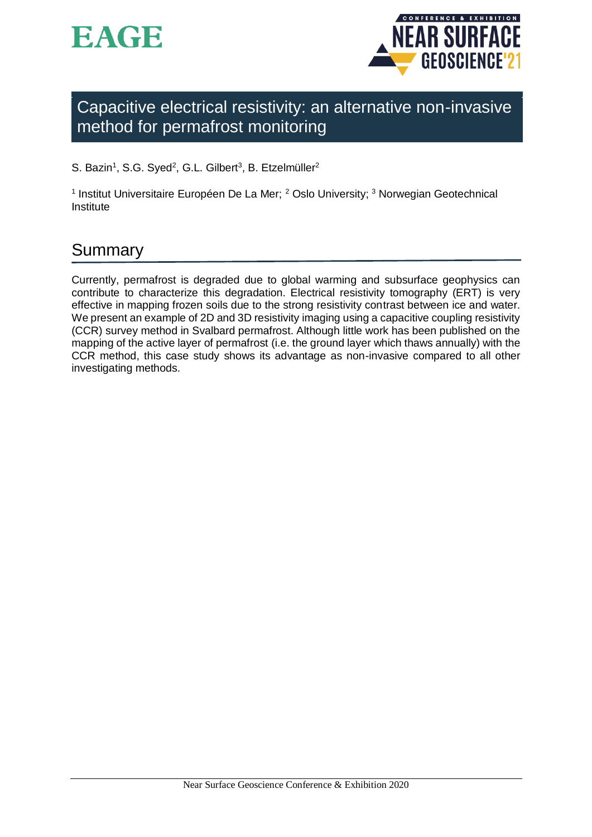



Capacitive electrical resistivity: an alternative non-invasive method for permafrost monitoring

S. Bazin<sup>1</sup>, S.G. Syed<sup>2</sup>, G.L. Gilbert<sup>3</sup>, B. Etzelmüller<sup>2</sup>

<sup>1</sup> Institut Universitaire Européen De La Mer; <sup>2</sup> Oslo University; <sup>3</sup> Norwegian Geotechnical Institute

# Summary

Currently, permafrost is degraded due to global warming and subsurface geophysics can contribute to characterize this degradation. Electrical resistivity tomography (ERT) is very effective in mapping frozen soils due to the strong resistivity contrast between ice and water. We present an example of 2D and 3D resistivity imaging using a capacitive coupling resistivity (CCR) survey method in Svalbard permafrost. Although little work has been published on the mapping of the active layer of permafrost (i.e. the ground layer which thaws annually) with the CCR method, this case study shows its advantage as non-invasive compared to all other investigating methods.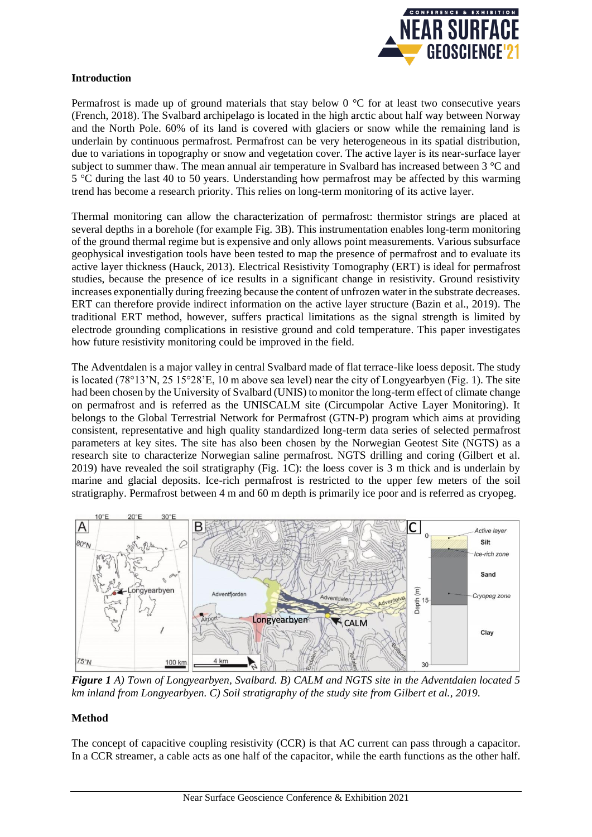

#### **Introduction**

Permafrost is made up of ground materials that stay below  $0^{\circ}$ C for at least two consecutive years (French, 2018). The Svalbard archipelago is located in the high arctic about half way between Norway and the North Pole. 60% of its land is covered with glaciers or snow while the remaining land is underlain by continuous permafrost. Permafrost can be very heterogeneous in its spatial distribution, due to variations in topography or snow and vegetation cover. The active layer is its near-surface layer subject to summer thaw. The mean annual air temperature in Svalbard has increased between 3 °C and 5 °C during the last 40 to 50 years. Understanding how permafrost may be affected by this warming trend has become a research priority. This relies on long-term monitoring of its active layer.

Thermal monitoring can allow the characterization of permafrost: thermistor strings are placed at several depths in a borehole (for example Fig. 3B). This instrumentation enables long-term monitoring of the ground thermal regime but is expensive and only allows point measurements. Various subsurface geophysical investigation tools have been tested to map the presence of permafrost and to evaluate its active layer thickness (Hauck, 2013). Electrical Resistivity Tomography (ERT) is ideal for permafrost studies, because the presence of ice results in a significant change in resistivity. Ground resistivity increases exponentially during freezing because the content of unfrozen water in the substrate decreases. ERT can therefore provide indirect information on the active layer structure (Bazin et al., 2019). The traditional ERT method, however, suffers practical limitations as the signal strength is limited by electrode grounding complications in resistive ground and cold temperature. This paper investigates how future resistivity monitoring could be improved in the field.

The Adventdalen is a major valley in central Svalbard made of flat terrace-like loess deposit. The study is located (78°13'N, 25 15°28'E, 10 m above sea level) near the city of Longyearbyen (Fig. 1). The site had been chosen by the University of Svalbard (UNIS) to monitor the long-term effect of climate change on permafrost and is referred as the UNISCALM site (Circumpolar Active Layer Monitoring). It belongs to the Global Terrestrial Network for Permafrost (GTN-P) program which aims at providing consistent, representative and high quality standardized long-term data series of selected permafrost parameters at key sites. The site has also been chosen by the Norwegian Geotest Site (NGTS) as a research site to characterize Norwegian saline permafrost. NGTS drilling and coring (Gilbert et al. 2019) have revealed the soil stratigraphy (Fig. 1C): the loess cover is 3 m thick and is underlain by marine and glacial deposits. Ice-rich permafrost is restricted to the upper few meters of the soil stratigraphy. Permafrost between 4 m and 60 m depth is primarily ice poor and is referred as cryopeg.



*Figure 1 A) Town of Longyearbyen, Svalbard. B) CALM and NGTS site in the Adventdalen located 5 km inland from Longyearbyen. C) Soil stratigraphy of the study site from Gilbert et al., 2019*.

### **Method**

The concept of capacitive coupling resistivity (CCR) is that AC current can pass through a capacitor. In a CCR streamer, a cable acts as one half of the capacitor, while the earth functions as the other half.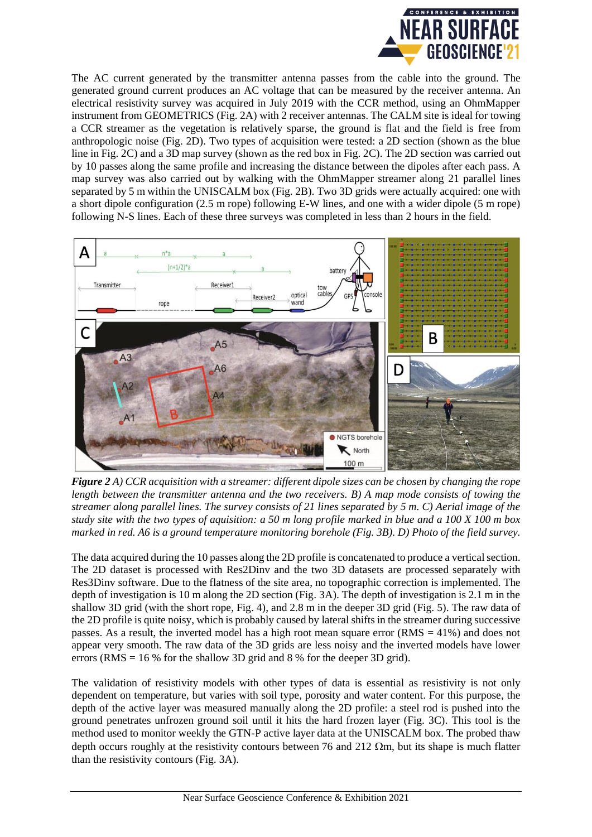

The AC current generated by the transmitter antenna passes from the cable into the ground. The generated ground current produces an AC voltage that can be measured by the receiver antenna. An electrical resistivity survey was acquired in July 2019 with the CCR method, using an OhmMapper instrument from GEOMETRICS (Fig. 2A) with 2 receiver antennas. The CALM site is ideal for towing a CCR streamer as the vegetation is relatively sparse, the ground is flat and the field is free from anthropologic noise (Fig. 2D). Two types of acquisition were tested: a 2D section (shown as the blue line in Fig. 2C) and a 3D map survey (shown as the red box in Fig. 2C). The 2D section was carried out by 10 passes along the same profile and increasing the distance between the dipoles after each pass. A map survey was also carried out by walking with the OhmMapper streamer along 21 parallel lines separated by 5 m within the UNISCALM box (Fig. 2B). Two 3D grids were actually acquired: one with a short dipole configuration (2.5 m rope) following E-W lines, and one with a wider dipole (5 m rope) following N-S lines. Each of these three surveys was completed in less than 2 hours in the field.



*Figure 2 A) CCR acquisition with a streamer: different dipole sizes can be chosen by changing the rope length between the transmitter antenna and the two receivers. B) A map mode consists of towing the streamer along parallel lines. The survey consists of 21 lines separated by 5 m. C) Aerial image of the study site with the two types of aquisition: a 50 m long profile marked in blue and a 100 X 100 m box marked in red. A6 is a ground temperature monitoring borehole (Fig. 3B). D) Photo of the field survey.*

The data acquired during the 10 passes along the 2D profile is concatenated to produce a vertical section. The 2D dataset is processed with Res2Dinv and the two 3D datasets are processed separately with Res3Dinv software. Due to the flatness of the site area, no topographic correction is implemented. The depth of investigation is 10 m along the 2D section (Fig. 3A). The depth of investigation is 2.1 m in the shallow 3D grid (with the short rope, Fig. 4), and 2.8 m in the deeper 3D grid (Fig. 5). The raw data of the 2D profile is quite noisy, which is probably caused by lateral shifts in the streamer during successive passes. As a result, the inverted model has a high root mean square error (RMS = 41%) and does not appear very smooth. The raw data of the 3D grids are less noisy and the inverted models have lower errors (RMS =  $16\%$  for the shallow 3D grid and 8 % for the deeper 3D grid).

The validation of resistivity models with other types of data is essential as resistivity is not only dependent on temperature, but varies with soil type, porosity and water content. For this purpose, the depth of the active layer was measured manually along the 2D profile: a steel rod is pushed into the ground penetrates unfrozen ground soil until it hits the hard frozen layer (Fig. 3C). This tool is the method used to monitor weekly the GTN-P active layer data at the UNISCALM box. The probed thaw depth occurs roughly at the resistivity contours between 76 and 212  $\Omega$ m, but its shape is much flatter than the resistivity contours (Fig. 3A).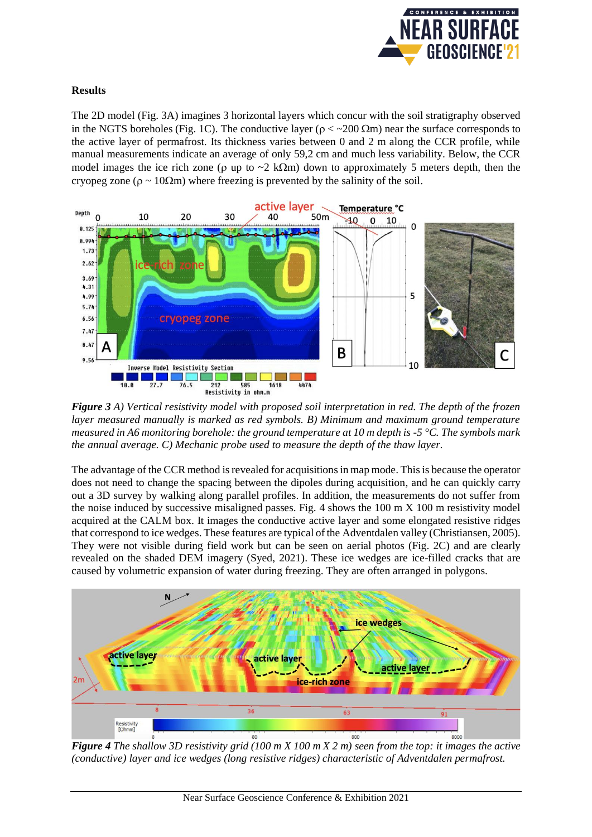

## **Results**

The 2D model (Fig. 3A) imagines 3 horizontal layers which concur with the soil stratigraphy observed in the NGTS boreholes (Fig. 1C). The conductive layer ( $\rho < 200 \Omega$ m) near the surface corresponds to the active layer of permafrost. Its thickness varies between 0 and 2 m along the CCR profile, while manual measurements indicate an average of only 59,2 cm and much less variability. Below, the CCR model images the ice rich zone ( $\rho$  up to  $\sim$ 2 k $\Omega$ m) down to approximately 5 meters depth, then the cryopeg zone ( $\rho \sim 10\Omega$ m) where freezing is prevented by the salinity of the soil.



*Figure 3 A) Vertical resistivity model with proposed soil interpretation in red. The depth of the frozen layer measured manually is marked as red symbols. B) Minimum and maximum ground temperature measured in A6 monitoring borehole: the ground temperature at 10 m depth is -5 °C. The symbols mark the annual average. C) Mechanic probe used to measure the depth of the thaw layer.*

The advantage of the CCR method is revealed for acquisitionsin map mode. This is because the operator does not need to change the spacing between the dipoles during acquisition, and he can quickly carry out a 3D survey by walking along parallel profiles. In addition, the measurements do not suffer from the noise induced by successive misaligned passes. Fig. 4 shows the 100 m X 100 m resistivity model acquired at the CALM box. It images the conductive active layer and some elongated resistive ridges that correspond to ice wedges. These features are typical of the Adventdalen valley (Christiansen, 2005). They were not visible during field work but can be seen on aerial photos (Fig. 2C) and are clearly revealed on the shaded DEM imagery (Syed, 2021). These ice wedges are ice-filled cracks that are caused by volumetric expansion of water during freezing. They are often arranged in polygons.



*Figure 4 The shallow 3D resistivity grid (100 m X 100 m X 2 m) seen from the top: it images the active (conductive) layer and ice wedges (long resistive ridges) characteristic of Adventdalen permafrost.*